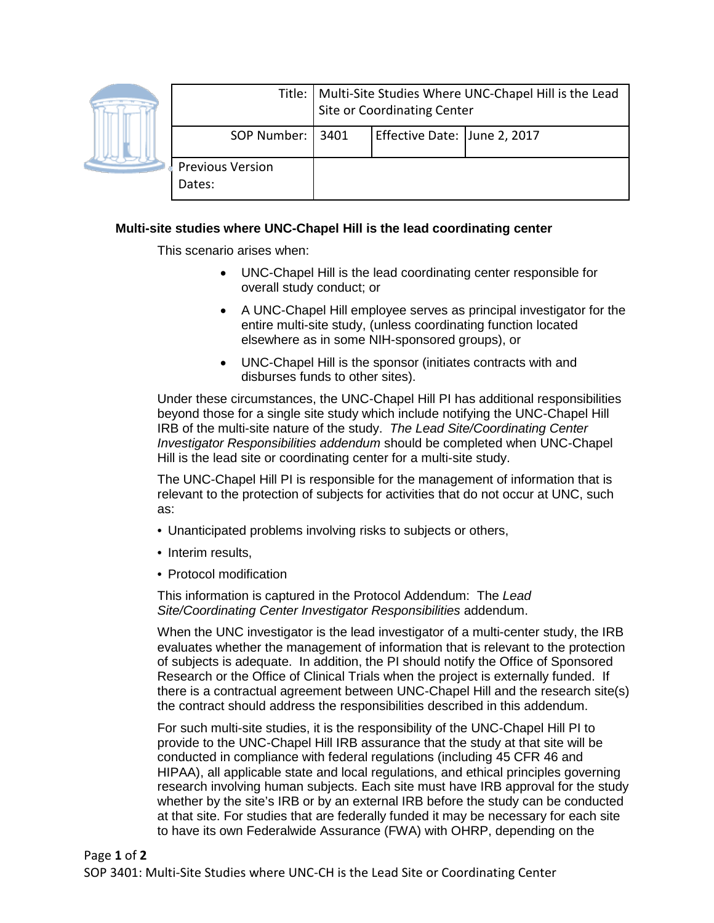

|                                   | Title:   Multi-Site Studies Where UNC-Chapel Hill is the Lead<br>Site or Coordinating Center |                              |  |
|-----------------------------------|----------------------------------------------------------------------------------------------|------------------------------|--|
| SOP Number:   3401                |                                                                                              | Effective Date: June 2, 2017 |  |
| <b>Previous Version</b><br>Dates: |                                                                                              |                              |  |

## **Multi-site studies where UNC-Chapel Hill is the lead coordinating center**

This scenario arises when:

- UNC-Chapel Hill is the lead coordinating center responsible for overall study conduct; or
- A UNC-Chapel Hill employee serves as principal investigator for the entire multi-site study, (unless coordinating function located elsewhere as in some NIH-sponsored groups), or
- UNC-Chapel Hill is the sponsor (initiates contracts with and disburses funds to other sites).

Under these circumstances, the UNC-Chapel Hill PI has additional responsibilities beyond those for a single site study which include notifying the UNC-Chapel Hill IRB of the multi-site nature of the study. *The Lead Site/Coordinating Center Investigator Responsibilities addendum* should be completed when UNC-Chapel Hill is the lead site or coordinating center for a multi-site study.

The UNC-Chapel Hill PI is responsible for the management of information that is relevant to the protection of subjects for activities that do not occur at UNC, such as:

- Unanticipated problems involving risks to subjects or others,
- Interim results,
- Protocol modification

This information is captured in the Protocol Addendum: The *Lead Site/Coordinating Center Investigator Responsibilities* addendum.

When the UNC investigator is the lead investigator of a multi-center study, the IRB evaluates whether the management of information that is relevant to the protection of subjects is adequate. In addition, the PI should notify the Office of Sponsored Research or the Office of Clinical Trials when the project is externally funded. If there is a contractual agreement between UNC-Chapel Hill and the research site(s) the contract should address the responsibilities described in this addendum.

For such multi-site studies, it is the responsibility of the UNC-Chapel Hill PI to provide to the UNC-Chapel Hill IRB assurance that the study at that site will be conducted in compliance with federal regulations (including 45 CFR 46 and HIPAA), all applicable state and local regulations, and ethical principles governing research involving human subjects. Each site must have IRB approval for the study whether by the site's IRB or by an external IRB before the study can be conducted at that site. For studies that are federally funded it may be necessary for each site to have its own Federalwide Assurance (FWA) with OHRP, depending on the